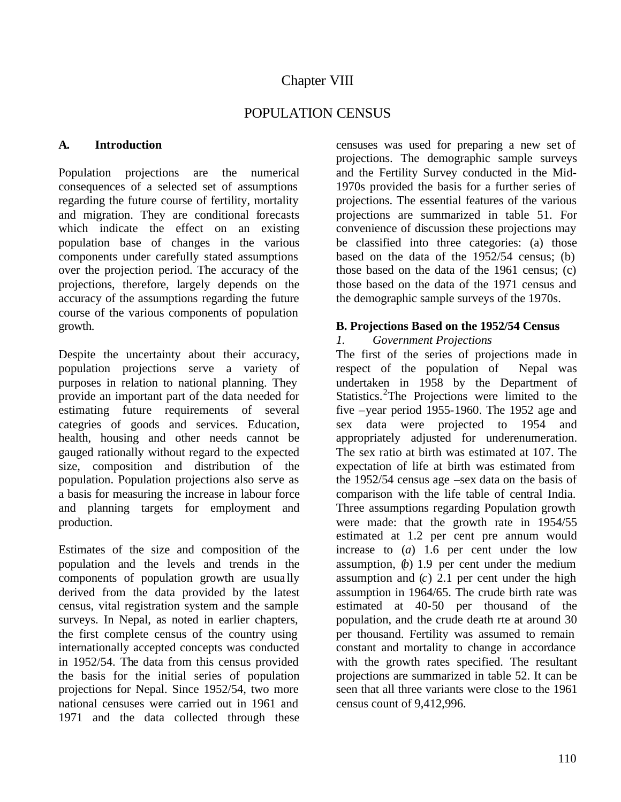# Chapter VIII

# POPULATION CENSUS

### **A. Introduction**

Population projections are the numerical consequences of a selected set of assumptions regarding the future course of fertility, mortality and migration. They are conditional forecasts which indicate the effect on an existing population base of changes in the various components under carefully stated assumptions over the projection period. The accuracy of the projections, therefore, largely depends on the accuracy of the assumptions regarding the future course of the various components of population growth.

Despite the uncertainty about their accuracy, population projections serve a variety of purposes in relation to national planning. They provide an important part of the data needed for estimating future requirements of several categries of goods and services. Education, health, housing and other needs cannot be gauged rationally without regard to the expected size, composition and distribution of the population. Population projections also serve as a basis for measuring the increase in labour force and planning targets for employment and production.

Estimates of the size and composition of the population and the levels and trends in the components of population growth are usua lly derived from the data provided by the latest census, vital registration system and the sample surveys. In Nepal, as noted in earlier chapters, the first complete census of the country using internationally accepted concepts was conducted in 1952/54. The data from this census provided the basis for the initial series of population projections for Nepal. Since 1952/54, two more national censuses were carried out in 1961 and 1971 and the data collected through these censuses was used for preparing a new set of projections. The demographic sample surveys and the Fertility Survey conducted in the Mid-1970s provided the basis for a further series of projections. The essential features of the various projections are summarized in table 51. For convenience of discussion these projections may be classified into three categories: (a) those based on the data of the 1952/54 census; (b) those based on the data of the 1961 census; (c) those based on the data of the 1971 census and the demographic sample surveys of the 1970s.

### **B. Projections Based on the 1952/54 Census**

### *1. Government Projections*

The first of the series of projections made in respect of the population of Nepal was undertaken in 1958 by the Department of Statistics.<sup>2</sup>The Projections were limited to the five –year period 1955-1960. The 1952 age and sex data were projected to 1954 and appropriately adjusted for underenumeration. The sex ratio at birth was estimated at 107. The expectation of life at birth was estimated from the 1952/54 census age –sex data on the basis of comparison with the life table of central India. Three assumptions regarding Population growth were made: that the growth rate in 1954/55 estimated at 1.2 per cent pre annum would increase to (*a*) 1.6 per cent under the low assumption,  $(b)$  1.9 per cent under the medium assumption and (*c*) 2.1 per cent under the high assumption in 1964/65. The crude birth rate was estimated at 40-50 per thousand of the population, and the crude death rte at around 30 per thousand. Fertility was assumed to remain constant and mortality to change in accordance with the growth rates specified. The resultant projections are summarized in table 52. It can be seen that all three variants were close to the 1961 census count of 9,412,996.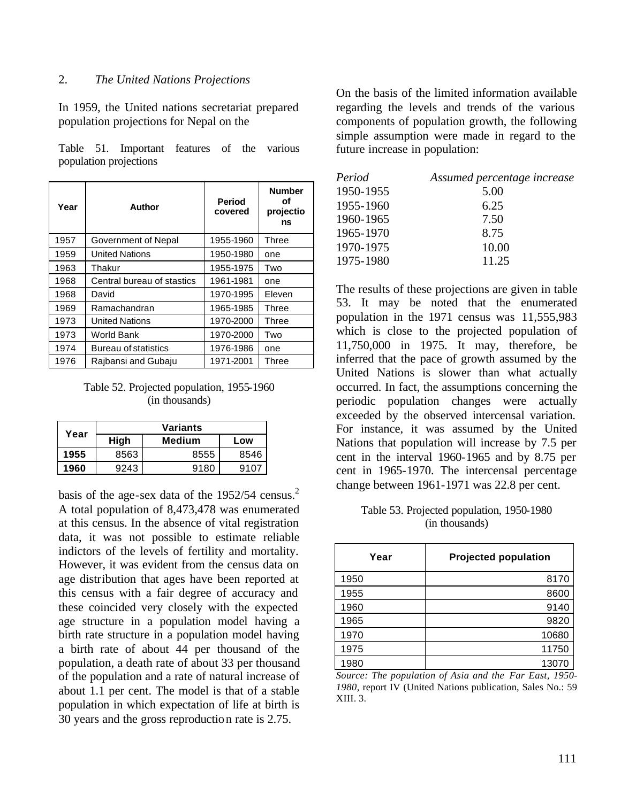### 2. *The United Nations Projections*

In 1959, the United nations secretariat prepared population projections for Nepal on the

Table 51. Important features of the various population projections

| Year | Author                      | <b>Period</b><br>covered | <b>Number</b><br>οf<br>projectio<br>ns |
|------|-----------------------------|--------------------------|----------------------------------------|
| 1957 | Government of Nepal         | 1955-1960                | Three                                  |
| 1959 | <b>United Nations</b>       | 1950-1980                | one                                    |
| 1963 | Thakur                      | 1955-1975                | Two                                    |
| 1968 | Central bureau of stastics  | 1961-1981                | one                                    |
| 1968 | David                       | 1970-1995                | Eleven                                 |
| 1969 | Ramachandran                | 1965-1985                | Three                                  |
| 1973 | <b>United Nations</b>       | 1970-2000                | Three                                  |
| 1973 | <b>World Bank</b>           | 1970-2000                | Two                                    |
| 1974 | <b>Bureau of statistics</b> | 1976-1986                | one                                    |
| 1976 | Rajbansi and Gubaju         | 1971-2001                | Three                                  |

Table 52. Projected population, 1955-1960 (in thousands)

| Year | Variants              |      |      |  |  |
|------|-----------------------|------|------|--|--|
|      | High<br>Medium<br>Low |      |      |  |  |
| 1955 | 8563                  | 8555 | 8546 |  |  |
| 1960 | 9243                  | 9180 | 9107 |  |  |

basis of the age-sex data of the  $1952/54$  census.<sup>2</sup> A total population of 8,473,478 was enumerated at this census. In the absence of vital registration data, it was not possible to estimate reliable indictors of the levels of fertility and mortality. However, it was evident from the census data on age distribution that ages have been reported at this census with a fair degree of accuracy and these coincided very closely with the expected age structure in a population model having a birth rate structure in a population model having a birth rate of about 44 per thousand of the population, a death rate of about 33 per thousand of the population and a rate of natural increase of about 1.1 per cent. The model is that of a stable population in which expectation of life at birth is 30 years and the gross reproduction rate is 2.75.

On the basis of the limited information available regarding the levels and trends of the various components of population growth, the following simple assumption were made in regard to the future increase in population:

| Period    | Assumed percentage increase |
|-----------|-----------------------------|
| 1950-1955 | 5.00                        |
| 1955-1960 | 6.25                        |
| 1960-1965 | 7.50                        |
| 1965-1970 | 8.75                        |
| 1970-1975 | 10.00                       |
| 1975-1980 | 11.25                       |
|           |                             |

The results of these projections are given in table 53. It may be noted that the enumerated population in the 1971 census was 11,555,983 which is close to the projected population of 11,750,000 in 1975. It may, therefore, be inferred that the pace of growth assumed by the United Nations is slower than what actually occurred. In fact, the assumptions concerning the periodic population changes were actually exceeded by the observed intercensal variation. For instance, it was assumed by the United Nations that population will increase by 7.5 per cent in the interval 1960-1965 and by 8.75 per cent in 1965-1970. The intercensal percentage change between 1961-1971 was 22.8 per cent.

#### Table 53. Projected population, 1950-1980 (in thousands)

| Year | <b>Projected population</b> |
|------|-----------------------------|
| 1950 | 8170                        |
| 1955 | 8600                        |
| 1960 | 9140                        |
| 1965 | 9820                        |
| 1970 | 10680                       |
| 1975 | 11750                       |
| 1980 | 13070                       |

*Source: The population of Asia and the Far East, 1950- 1980,* report IV (United Nations publication, Sales No.: 59 XIII. 3.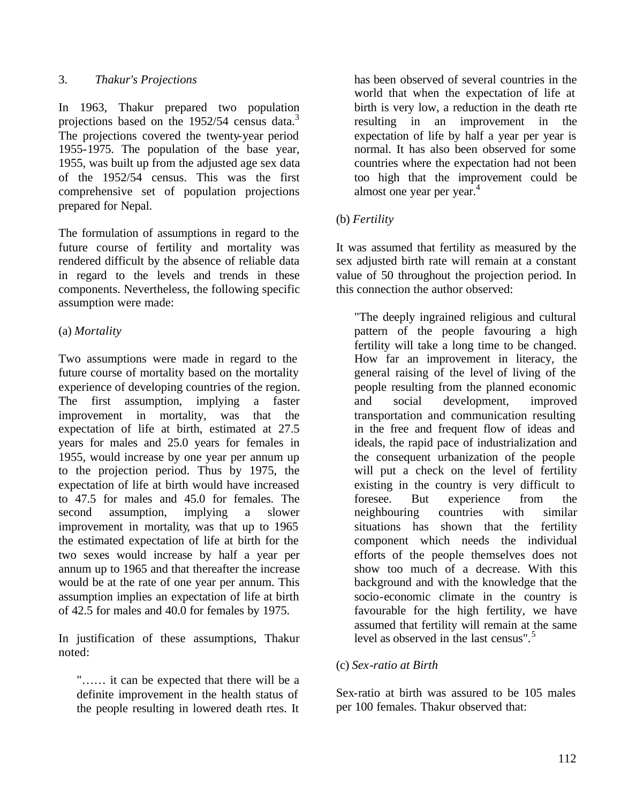## 3. *Thakur's Projections*

In 1963, Thakur prepared two population projections based on the 1952/54 census data.<sup>3</sup> The projections covered the twenty-year period 1955-1975. The population of the base year, 1955, was built up from the adjusted age sex data of the 1952/54 census. This was the first comprehensive set of population projections prepared for Nepal.

The formulation of assumptions in regard to the future course of fertility and mortality was rendered difficult by the absence of reliable data in regard to the levels and trends in these components. Nevertheless, the following specific assumption were made:

# (a) *Mortality*

Two assumptions were made in regard to the future course of mortality based on the mortality experience of developing countries of the region. The first assumption, implying a faster improvement in mortality, was that the expectation of life at birth, estimated at 27.5 years for males and 25.0 years for females in 1955, would increase by one year per annum up to the projection period. Thus by 1975, the expectation of life at birth would have increased to 47.5 for males and 45.0 for females. The second assumption, implying a slower improvement in mortality, was that up to 1965 the estimated expectation of life at birth for the two sexes would increase by half a year per annum up to 1965 and that thereafter the increase would be at the rate of one year per annum. This assumption implies an expectation of life at birth of 42.5 for males and 40.0 for females by 1975.

In justification of these assumptions, Thakur noted:

"…… it can be expected that there will be a definite improvement in the health status of the people resulting in lowered death rtes. It

has been observed of several countries in the world that when the expectation of life at birth is very low, a reduction in the death rte resulting in an improvement in the expectation of life by half a year per year is normal. It has also been observed for some countries where the expectation had not been too high that the improvement could be almost one year per year.<sup>4</sup>

# (b) *Fertility*

It was assumed that fertility as measured by the sex adjusted birth rate will remain at a constant value of 50 throughout the projection period. In this connection the author observed:

"The deeply ingrained religious and cultural pattern of the people favouring a high fertility will take a long time to be changed. How far an improvement in literacy, the general raising of the level of living of the people resulting from the planned economic and social development, improved transportation and communication resulting in the free and frequent flow of ideas and ideals, the rapid pace of industrialization and the consequent urbanization of the people will put a check on the level of fertility existing in the country is very difficult to foresee. But experience from the neighbouring countries with similar situations has shown that the fertility component which needs the individual efforts of the people themselves does not show too much of a decrease. With this background and with the knowledge that the socio-economic climate in the country is favourable for the high fertility, we have assumed that fertility will remain at the same level as observed in the last census".<sup>5</sup>

## (c) *Sex-ratio at Birth*

Sex-ratio at birth was assured to be 105 males per 100 females. Thakur observed that: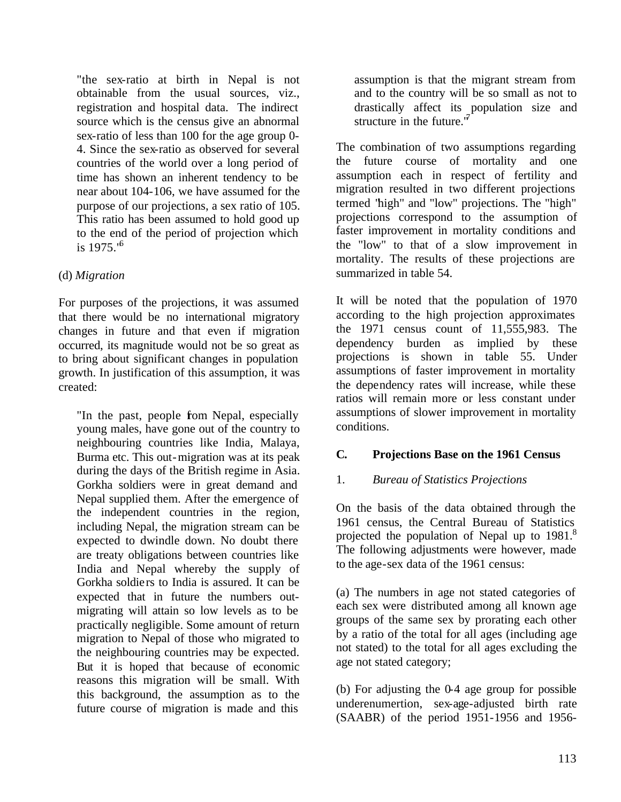"the sex-ratio at birth in Nepal is not obtainable from the usual sources, viz., registration and hospital data. The indirect source which is the census give an abnormal sex-ratio of less than 100 for the age group 0- 4. Since the sex-ratio as observed for several countries of the world over a long period of time has shown an inherent tendency to be near about 104-106, we have assumed for the purpose of our projections, a sex ratio of 105. This ratio has been assumed to hold good up to the end of the period of projection which is  $1975."$ <sup>6</sup>

# (d) *Migration*

For purposes of the projections, it was assumed that there would be no international migratory changes in future and that even if migration occurred, its magnitude would not be so great as to bring about significant changes in population growth. In justification of this assumption, it was created:

"In the past, people from Nepal, especially young males, have gone out of the country to neighbouring countries like India, Malaya, Burma etc. This out-migration was at its peak during the days of the British regime in Asia. Gorkha soldiers were in great demand and Nepal supplied them. After the emergence of the independent countries in the region, including Nepal, the migration stream can be expected to dwindle down. No doubt there are treaty obligations between countries like India and Nepal whereby the supply of Gorkha soldie rs to India is assured. It can be expected that in future the numbers outmigrating will attain so low levels as to be practically negligible. Some amount of return migration to Nepal of those who migrated to the neighbouring countries may be expected. But it is hoped that because of economic reasons this migration will be small. With this background, the assumption as to the future course of migration is made and this

assumption is that the migrant stream from and to the country will be so small as not to drastically affect its population size and structure in the future."

The combination of two assumptions regarding the future course of mortality and one assumption each in respect of fertility and migration resulted in two different projections termed "high" and "low" projections. The "high" projections correspond to the assumption of faster improvement in mortality conditions and the "low" to that of a slow improvement in mortality. The results of these projections are summarized in table 54.

It will be noted that the population of 1970 according to the high projection approximates the 1971 census count of 11,555,983. The dependency burden as implied by these projections is shown in table 55. Under assumptions of faster improvement in mortality the dependency rates will increase, while these ratios will remain more or less constant under assumptions of slower improvement in mortality conditions.

# **C. Projections Base on the 1961 Census**

## 1. *Bureau of Statistics Projections*

On the basis of the data obtained through the 1961 census, the Central Bureau of Statistics projected the population of Nepal up to 1981.<sup>8</sup> The following adjustments were however, made to the age-sex data of the 1961 census:

(a) The numbers in age not stated categories of each sex were distributed among all known age groups of the same sex by prorating each other by a ratio of the total for all ages (including age not stated) to the total for all ages excluding the age not stated category;

(b) For adjusting the 0-4 age group for possible underenumertion, sex-age-adjusted birth rate (SAABR) of the period 1951-1956 and 1956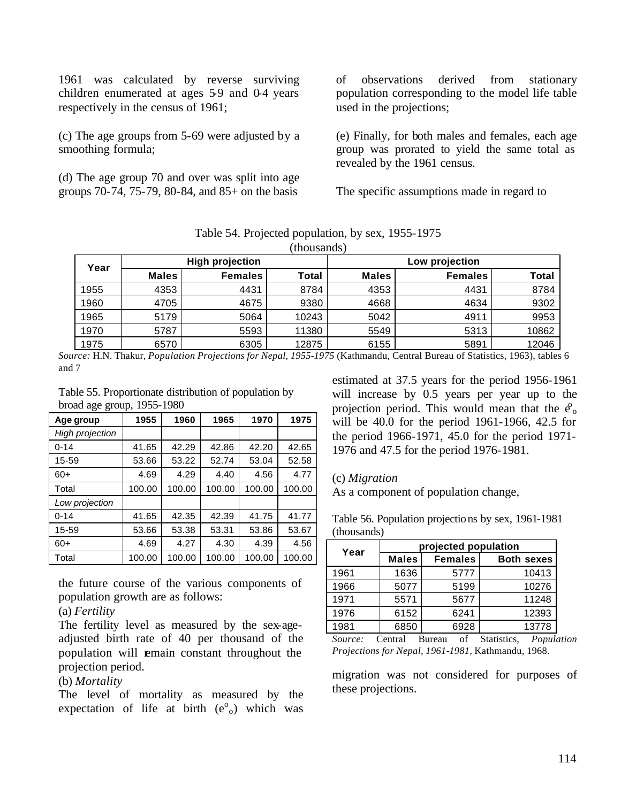1961 was calculated by reverse surviving children enumerated at ages 59 and 0-4 years respectively in the census of 1961;

(c) The age groups from 5-69 were adjusted by a smoothing formula;

(d) The age group 70 and over was split into age groups 70-74, 75-79, 80-84, and 85+ on the basis

of observations derived from stationary population corresponding to the model life table used in the projections;

(e) Finally, for both males and females, each age group was prorated to yield the same total as revealed by the 1961 census.

The specific assumptions made in regard to

| Year | <b>High projection</b> |                |       | Low projection |                |              |
|------|------------------------|----------------|-------|----------------|----------------|--------------|
|      | <b>Males</b>           | <b>Females</b> | Total | <b>Males</b>   | <b>Females</b> | <b>Total</b> |
| 1955 | 4353                   | 4431           | 8784  | 4353           | 4431           | 8784         |
| 1960 | 4705                   | 4675           | 9380  | 4668           | 4634           | 9302         |
| 1965 | 5179                   | 5064           | 10243 | 5042           | 4911           | 9953         |
| 1970 | 5787                   | 5593           | 11380 | 5549           | 5313           | 10862        |
| 1975 | 6570                   | 6305           | 12875 | 6155           | 5891           | 12046        |

Table 54. Projected population, by sex, 1955-1975 (thousands)

*Source:* H.N. Thakur, *Population Projections for Nepal, 1955-1975* (Kathmandu, Central Bureau of Statistics, 1963), tables 6 and 7

Table 55. Proportionate distribution of population by broad age group, 1955-1980

| Age group              | 1955   | 1960   | 1965   | 1970   | 1975   |
|------------------------|--------|--------|--------|--------|--------|
| <b>High projection</b> |        |        |        |        |        |
| $0 - 14$               | 41.65  | 42.29  | 42.86  | 42.20  | 42.65  |
| 15-59                  | 53.66  | 53.22  | 52.74  | 53.04  | 52.58  |
| $60+$                  | 4.69   | 4.29   | 4.40   | 4.56   | 4.77   |
| Total                  | 100.00 | 100.00 | 100.00 | 100.00 | 100.00 |
| Low projection         |        |        |        |        |        |
| $0 - 14$               | 41.65  | 42.35  | 42.39  | 41.75  | 41.77  |
| 15-59                  | 53.66  | 53.38  | 53.31  | 53.86  | 53.67  |
| $60+$                  | 4.69   | 4.27   | 4.30   | 4.39   | 4.56   |
| Total                  | 100.00 | 100.00 | 100.00 | 100.00 | 100.00 |

the future course of the various components of population growth are as follows:

### (a) *Fertility*

The fertility level as measured by the sex-ageadjusted birth rate of 40 per thousand of the population will remain constant throughout the projection period.

### (b) *Mortality*

The level of mortality as measured by the expectation of life at birth  $(e^{\circ}_{o})$  which was

estimated at 37.5 years for the period 1956-1961 will increase by 0.5 years per year up to the projection period. This would mean that the  $e_0$ will be 40.0 for the period 1961-1966, 42.5 for the period 1966-1971, 45.0 for the period 1971- 1976 and 47.5 for the period 1976-1981.

#### (c) *Migration*

As a component of population change,

Table 56. Population projections by sex, 1961-1981 (thousands)

| Year | projected population |                |                   |  |  |  |
|------|----------------------|----------------|-------------------|--|--|--|
|      | <b>Males</b>         | <b>Females</b> | <b>Both sexes</b> |  |  |  |
| 1961 | 1636                 | 5777           | 10413             |  |  |  |
| 1966 | 5077                 | 5199           | 10276             |  |  |  |
| 1971 | 5571                 | 5677           | 11248             |  |  |  |
| 1976 | 6152                 | 6241           | 12393             |  |  |  |
| 1981 | 6850                 | 6928           | 13778             |  |  |  |

*Source:* Central Bureau of Statistics, *Population Projections for Nepal, 1961-1981,* Kathmandu, 1968.

migration was not considered for purposes of these projections.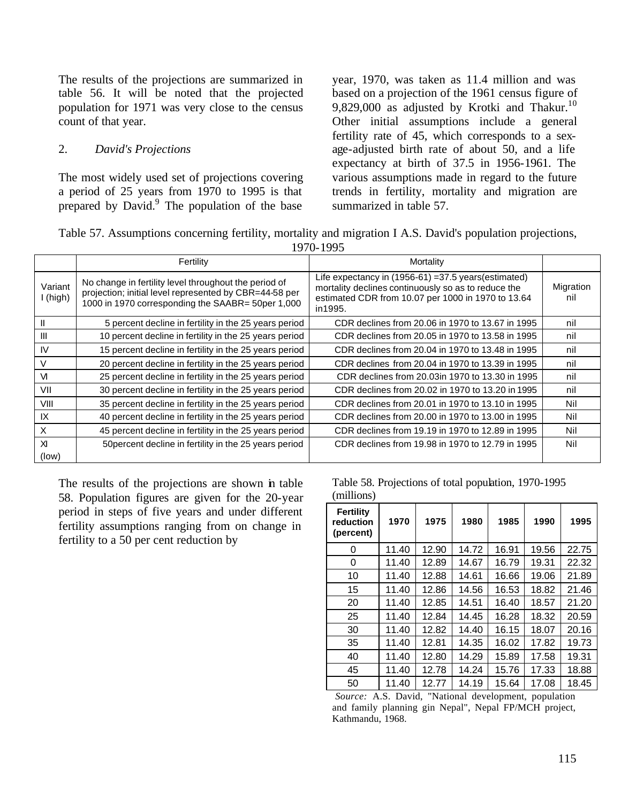The results of the projections are summarized in table 56. It will be noted that the projected population for 1971 was very close to the census count of that year.

### 2. *David's Projections*

The most widely used set of projections covering a period of 25 years from 1970 to 1995 is that prepared by David.<sup>9</sup> The population of the base year, 1970, was taken as 11.4 million and was based on a projection of the 1961 census figure of 9,829,000 as adjusted by Krotki and Thakur.<sup>10</sup> Other initial assumptions include a general fertility rate of 45, which corresponds to a sexage-adjusted birth rate of about 50, and a life expectancy at birth of 37.5 in 1956-1961. The various assumptions made in regard to the future trends in fertility, mortality and migration are summarized in table 57.

Table 57. Assumptions concerning fertility, mortality and migration I A.S. David's population projections,  $1070, 1005$ 

|                     |                                                                                                                                                                      | 17/U-177J                                                                                                                                                                     |                  |
|---------------------|----------------------------------------------------------------------------------------------------------------------------------------------------------------------|-------------------------------------------------------------------------------------------------------------------------------------------------------------------------------|------------------|
|                     | Fertility                                                                                                                                                            | Mortality                                                                                                                                                                     |                  |
| Variant<br>I (high) | No change in fertility level throughout the period of<br>projection; initial level represented by CBR=44-58 per<br>1000 in 1970 corresponding the SAABR= 50per 1,000 | Life expectancy in (1956-61) = 37.5 years (estimated)<br>mortality declines continuously so as to reduce the<br>estimated CDR from 10.07 per 1000 in 1970 to 13.64<br>in1995. | Migration<br>nil |
|                     | 5 percent decline in fertility in the 25 years period                                                                                                                | CDR declines from 20.06 in 1970 to 13.67 in 1995                                                                                                                              | nil              |
| III                 | 10 percent decline in fertility in the 25 years period                                                                                                               | CDR declines from 20.05 in 1970 to 13.58 in 1995                                                                                                                              | nil              |
| IV                  | 15 percent decline in fertility in the 25 years period                                                                                                               | CDR declines from 20.04 in 1970 to 13.48 in 1995                                                                                                                              | nil              |
|                     | 20 percent decline in fertility in the 25 years period                                                                                                               | CDR declines from 20.04 in 1970 to 13.39 in 1995                                                                                                                              | nil              |
| VI.                 | 25 percent decline in fertility in the 25 years period                                                                                                               | CDR declines from 20.03in 1970 to 13.30 in 1995                                                                                                                               | nil              |
| VII                 | 30 percent decline in fertility in the 25 years period                                                                                                               | CDR declines from 20.02 in 1970 to 13.20 in 1995                                                                                                                              | nil              |
| VIII                | 35 percent decline in fertility in the 25 years period                                                                                                               | CDR declines from 20.01 in 1970 to 13.10 in 1995                                                                                                                              | Nil              |
| IX                  | 40 percent decline in fertility in the 25 years period                                                                                                               | CDR declines from 20.00 in 1970 to 13.00 in 1995                                                                                                                              | Nil              |
| X                   | 45 percent decline in fertility in the 25 years period                                                                                                               | CDR declines from 19.19 in 1970 to 12.89 in 1995                                                                                                                              | Nil              |
| XI<br>(low)         | 50 percent decline in fertility in the 25 years period                                                                                                               | CDR declines from 19.98 in 1970 to 12.79 in 1995                                                                                                                              | Nil              |

The results of the projections are shown in table 58. Population figures are given for the 20-year period in steps of five years and under different fertility assumptions ranging from on change in fertility to a 50 per cent reduction by

Table 58. Projections of total population, 1970-1995 (millions)

| <b>Fertility</b><br>reduction<br>(percent) | 1970  | 1975  | 1980  | 1985  | 1990  | 1995  |
|--------------------------------------------|-------|-------|-------|-------|-------|-------|
| 0                                          | 11.40 | 12.90 | 14.72 | 16.91 | 19.56 | 22.75 |
| 0                                          | 11.40 | 12.89 | 14.67 | 16.79 | 19.31 | 22.32 |
| 10                                         | 11.40 | 12.88 | 14.61 | 16.66 | 19.06 | 21.89 |
| 15                                         | 11.40 | 12.86 | 14.56 | 16.53 | 18.82 | 21.46 |
| 20                                         | 11.40 | 12.85 | 14.51 | 16.40 | 18.57 | 21.20 |
| 25                                         | 11.40 | 12.84 | 14.45 | 16.28 | 18.32 | 20.59 |
| 30                                         | 11.40 | 12.82 | 14.40 | 16.15 | 18.07 | 20.16 |
| 35                                         | 11.40 | 12.81 | 14.35 | 16.02 | 17.82 | 19.73 |
| 40                                         | 11.40 | 12.80 | 14.29 | 15.89 | 17.58 | 19.31 |
| 45                                         | 11.40 | 12.78 | 14.24 | 15.76 | 17.33 | 18.88 |
| 50                                         | 11.40 | 12.77 | 14.19 | 15.64 | 17.08 | 18.45 |

*Source:* A.S. David, "National development, population and family planning gin Nepal", Nepal FP/MCH project, Kathmandu, 1968.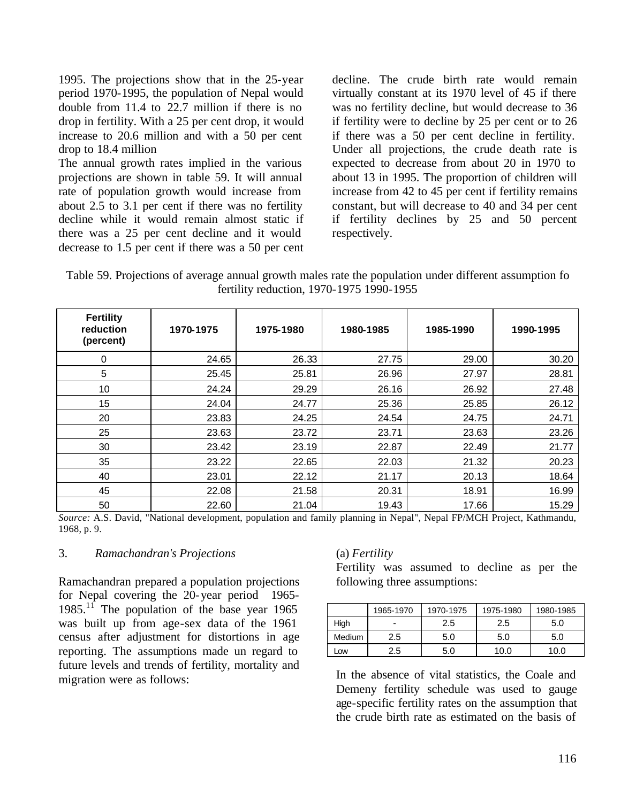1995. The projections show that in the 25-year period 1970-1995, the population of Nepal would double from 11.4 to 22.7 million if there is no drop in fertility. With a 25 per cent drop, it would increase to 20.6 million and with a 50 per cent drop to 18.4 million

The annual growth rates implied in the various projections are shown in table 59. It will annual rate of population growth would increase from about 2.5 to 3.1 per cent if there was no fertility decline while it would remain almost static if there was a 25 per cent decline and it would decrease to 1.5 per cent if there was a 50 per cent decline. The crude birth rate would remain virtually constant at its 1970 level of 45 if there was no fertility decline, but would decrease to 36 if fertility were to decline by 25 per cent or to 26 if there was a 50 per cent decline in fertility. Under all projections, the crude death rate is expected to decrease from about 20 in 1970 to about 13 in 1995. The proportion of children will increase from 42 to 45 per cent if fertility remains constant, but will decrease to 40 and 34 per cent if fertility declines by 25 and 50 percent respectively.

Table 59. Projections of average annual growth males rate the population under different assumption fo fertility reduction, 1970-1975 1990-1955

| <b>Fertility</b><br>reduction<br>(percent) | 1970-1975 | 1975-1980 | 1980-1985 | 1985-1990 | 1990-1995 |
|--------------------------------------------|-----------|-----------|-----------|-----------|-----------|
| 0                                          | 24.65     | 26.33     | 27.75     | 29.00     | 30.20     |
| 5                                          | 25.45     | 25.81     | 26.96     | 27.97     | 28.81     |
| 10                                         | 24.24     | 29.29     | 26.16     | 26.92     | 27.48     |
| 15                                         | 24.04     | 24.77     | 25.36     | 25.85     | 26.12     |
| 20                                         | 23.83     | 24.25     | 24.54     | 24.75     | 24.71     |
| 25                                         | 23.63     | 23.72     | 23.71     | 23.63     | 23.26     |
| 30                                         | 23.42     | 23.19     | 22.87     | 22.49     | 21.77     |
| 35                                         | 23.22     | 22.65     | 22.03     | 21.32     | 20.23     |
| 40                                         | 23.01     | 22.12     | 21.17     | 20.13     | 18.64     |
| 45                                         | 22.08     | 21.58     | 20.31     | 18.91     | 16.99     |
| 50                                         | 22.60     | 21.04     | 19.43     | 17.66     | 15.29     |

*Source:* A.S. David, "National development, population and family planning in Nepal", Nepal FP/MCH Project, Kathmandu, 1968, p. 9.

#### 3. *Ramachandran's Projections*

Ramachandran prepared a population projections for Nepal covering the 20-year period 1965- 1985. $1\bar{1}$  The population of the base year 1965 was built up from age-sex data of the 1961 census after adjustment for distortions in age reporting. The assumptions made un regard to future levels and trends of fertility, mortality and migration were as follows:

#### (a) *Fertility*

Fertility was assumed to decline as per the following three assumptions:

|        | 1965-1970 | 1970-1975 | 1975-1980 | 1980-1985 |
|--------|-----------|-----------|-----------|-----------|
| High   | -         | 2.5       | 2.5       | 5.0       |
| Medium | 2.5       | 5.0       | 5.0       | 5.0       |
| Low    | 2.5       | 5.0       | 10.0      | 10.0      |

In the absence of vital statistics, the Coale and Demeny fertility schedule was used to gauge age-specific fertility rates on the assumption that the crude birth rate as estimated on the basis of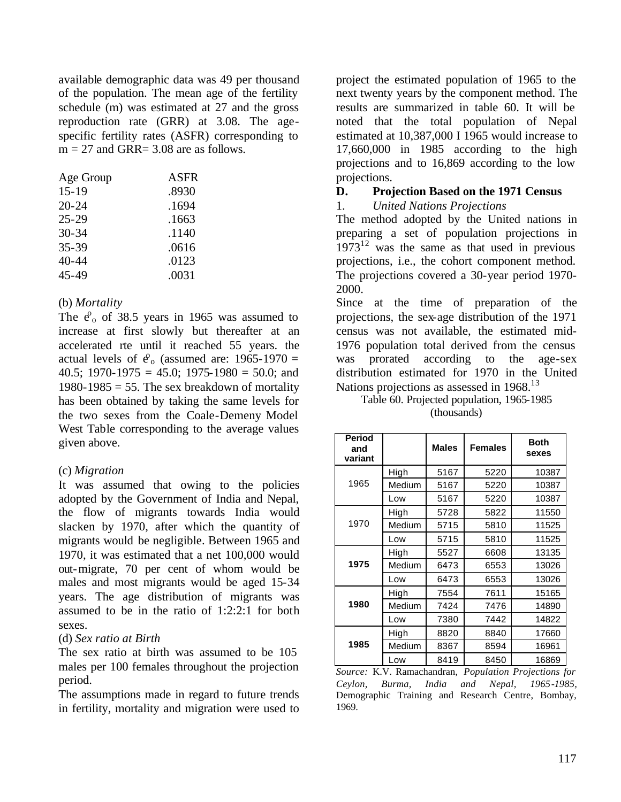available demographic data was 49 per thousand of the population. The mean age of the fertility schedule (m) was estimated at 27 and the gross reproduction rate (GRR) at 3.08. The agespecific fertility rates (ASFR) corresponding to  $m = 27$  and GRR= 3.08 are as follows.

| Age Group | ASFR  |
|-----------|-------|
| $15 - 19$ | .8930 |
| $20 - 24$ | .1694 |
| $25 - 29$ | .1663 |
| $30 - 34$ | .1140 |
| 35-39     | .0616 |
| 40-44     | .0123 |
| 45-49     | .0031 |

## (b) *Mortality*

The  $e_0$  of 38.5 years in 1965 was assumed to increase at first slowly but thereafter at an accelerated rte until it reached 55 years. the actual levels of  $e_0$  (assumed are: 1965-1970 = 40.5; 1970-1975 = 45.0; 1975-1980 = 50.0; and 1980-1985 = 55. The sex breakdown of mortality has been obtained by taking the same levels for the two sexes from the Coale-Demeny Model West Table corresponding to the average values given above.

## (c) *Migration*

It was assumed that owing to the policies adopted by the Government of India and Nepal, the flow of migrants towards India would slacken by 1970, after which the quantity of migrants would be negligible. Between 1965 and 1970, it was estimated that a net 100,000 would out-migrate, 70 per cent of whom would be males and most migrants would be aged 15-34 years. The age distribution of migrants was assumed to be in the ratio of 1:2:2:1 for both sexes.

### (d) *Sex ratio at Birth*

The sex ratio at birth was assumed to be 105 males per 100 females throughout the projection period.

The assumptions made in regard to future trends in fertility, mortality and migration were used to

project the estimated population of 1965 to the next twenty years by the component method. The results are summarized in table 60. It will be noted that the total population of Nepal estimated at 10,387,000 I 1965 would increase to 17,660,000 in 1985 according to the high projections and to 16,869 according to the low projections.

## **D. Projection Based on the 1971 Census**

1. *United Nations Projections*

The method adopted by the United nations in preparing a set of population projections in  $1973^{12}$  was the same as that used in previous projections, i.e., the cohort component method. The projections covered a 30-year period 1970- 2000.

Since at the time of preparation of the projections, the sex-age distribution of the 1971 census was not available, the estimated mid-1976 population total derived from the census was prorated according to the age-sex distribution estimated for 1970 in the United Nations projections as assessed in 1968.<sup>13</sup>

Table 60. Projected population, 1965-1985 (thousands)

| <b>Period</b><br>and<br>variant |        | <b>Males</b> | <b>Females</b> | <b>Both</b><br>sexes |
|---------------------------------|--------|--------------|----------------|----------------------|
|                                 | High   | 5167         | 5220           | 10387                |
| 1965                            | Medium | 5167         | 5220           | 10387                |
|                                 | Low    | 5167         | 5220           | 10387                |
|                                 | High   | 5728         | 5822           | 11550                |
| 1970                            | Medium | 5715         | 5810           | 11525                |
|                                 | Low    | 5715         | 5810           | 11525                |
|                                 | High   | 5527         | 6608           | 13135                |
| 1975                            | Medium | 6473         | 6553           | 13026                |
|                                 | Low    | 6473         | 6553           | 13026                |
|                                 | High   | 7554         | 7611           | 15165                |
| 1980                            | Medium | 7424         | 7476           | 14890                |
|                                 | Low    | 7380         | 7442           | 14822                |
|                                 | High   | 8820         | 8840           | 17660                |
| 1985                            | Medium | 8367         | 8594           | 16961                |
|                                 | Low    | 8419         | 8450           | 16869                |

*Source:* K.V. Ramachandran, *Population Projections for Ceylon, Burma, India and Nepal, 1965-1985,*  Demographic Training and Research Centre, Bombay, 1969.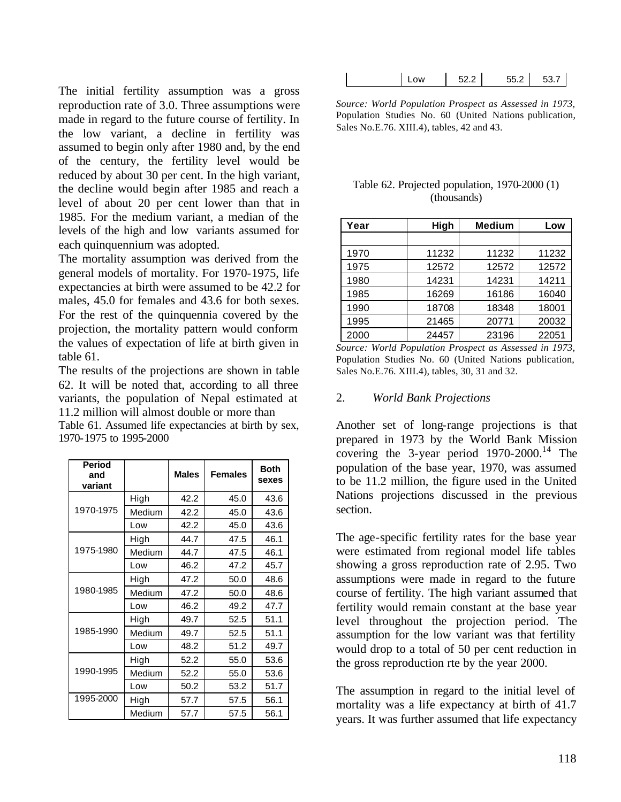The initial fertility assumption was a gross reproduction rate of 3.0. Three assumptions were made in regard to the future course of fertility. In the low variant, a decline in fertility was assumed to begin only after 1980 and, by the end of the century, the fertility level would be reduced by about 30 per cent. In the high variant, the decline would begin after 1985 and reach a level of about 20 per cent lower than that in 1985. For the medium variant, a median of the levels of the high and low variants assumed for each quinquennium was adopted.

The mortality assumption was derived from the general models of mortality. For 1970-1975, life expectancies at birth were assumed to be 42.2 for males, 45.0 for females and 43.6 for both sexes. For the rest of the quinquennia covered by the projection, the mortality pattern would conform the values of expectation of life at birth given in table 61.

The results of the projections are shown in table 62. It will be noted that, according to all three variants, the population of Nepal estimated at 11.2 million will almost double or more than

Table 61. Assumed life expectancies at birth by sex, 1970-1975 to 1995-2000

| <b>Period</b><br>and<br>variant |        | <b>Males</b> | <b>Females</b> | <b>Both</b><br>sexes |
|---------------------------------|--------|--------------|----------------|----------------------|
|                                 | High   | 42.2         | 45.0           | 43.6                 |
| 1970-1975                       | Medium | 42.2         | 45.0           | 43.6                 |
|                                 | Low    | 42.2         | 45.0           | 43.6                 |
|                                 | High   | 44.7         | 47.5           | 46.1                 |
| 1975-1980                       | Medium | 44.7         | 47.5           | 46.1                 |
|                                 | Low    | 46.2         | 47.2           | 45.7                 |
|                                 | High   | 47.2         | 50.0           | 48.6                 |
| 1980-1985                       | Medium | 47.2         | 50.0           | 48.6                 |
|                                 | Low    | 46.2         | 49.2           | 47.7                 |
|                                 | High   | 49.7         | 52.5           | 51.1                 |
| 1985-1990                       | Medium | 49.7         | 52.5           | 51.1                 |
|                                 | Low    | 48.2         | 51.2           | 49.7                 |
|                                 | High   | 52.2         | 55.0           | 53.6                 |
| 1990-1995                       | Medium | 52.2         | 55.0           | 53.6                 |
|                                 | Low    | 50.2         | 53.2           | 51.7                 |
| 1995-2000                       | High   | 57.7         | 57.5           | 56.1                 |
|                                 | Medium | 57.7         | 57.5           | 56.1                 |

| l Low | 52.2 | 55.2 | 53.7 |
|-------|------|------|------|
|-------|------|------|------|

*Source: World Population Prospect as Assessed in 1973,*  Population Studies No. 60 (United Nations publication, Sales No.E.76. XIII.4), tables, 42 and 43.

#### Table 62. Projected population, 1970-2000 (1) (thousands)

| Year | High  | <b>Medium</b> | Low   |
|------|-------|---------------|-------|
|      |       |               |       |
| 1970 | 11232 | 11232         | 11232 |
| 1975 | 12572 | 12572         | 12572 |
| 1980 | 14231 | 14231         | 14211 |
| 1985 | 16269 | 16186         | 16040 |
| 1990 | 18708 | 18348         | 18001 |
| 1995 | 21465 | 20771         | 20032 |
| 2000 | 24457 | 23196         | 22051 |

*Source: World Population Prospect as Assessed in 1973,*  Population Studies No. 60 (United Nations publication, Sales No.E.76. XIII.4), tables, 30, 31 and 32.

#### 2. *World Bank Projections*

Another set of long-range projections is that prepared in 1973 by the World Bank Mission covering the 3-year period  $1970-2000$ .<sup>14</sup> The population of the base year, 1970, was assumed to be 11.2 million, the figure used in the United Nations projections discussed in the previous section.

The age-specific fertility rates for the base year were estimated from regional model life tables showing a gross reproduction rate of 2.95. Two assumptions were made in regard to the future course of fertility. The high variant assumed that fertility would remain constant at the base year level throughout the projection period. The assumption for the low variant was that fertility would drop to a total of 50 per cent reduction in the gross reproduction rte by the year 2000.

The assumption in regard to the initial level of mortality was a life expectancy at birth of 41.7 years. It was further assumed that life expectancy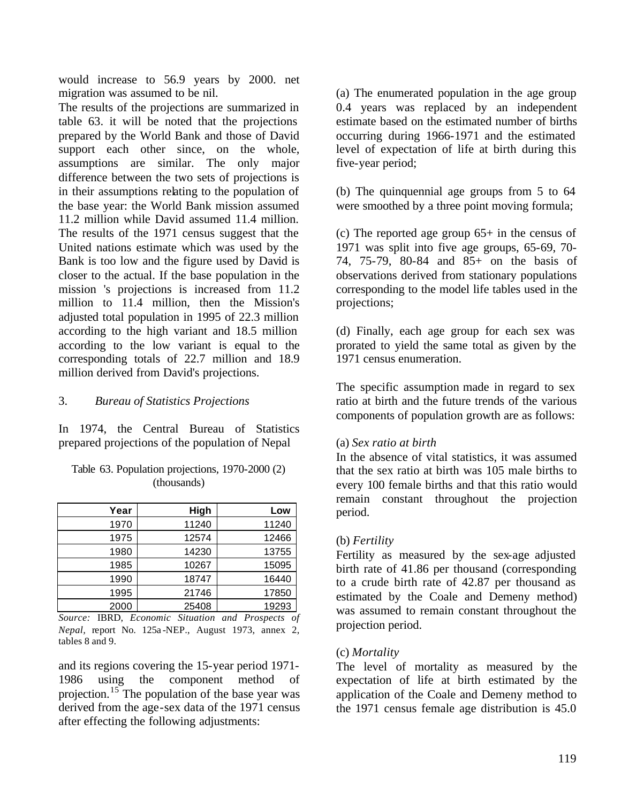would increase to 56.9 years by 2000. net migration was assumed to be nil.

The results of the projections are summarized in table 63. it will be noted that the projections prepared by the World Bank and those of David support each other since, on the whole, assumptions are similar. The only major difference between the two sets of projections is in their assumptions relating to the population of the base year: the World Bank mission assumed 11.2 million while David assumed 11.4 million. The results of the 1971 census suggest that the United nations estimate which was used by the Bank is too low and the figure used by David is closer to the actual. If the base population in the mission 's projections is increased from 11.2 million to 11.4 million, then the Mission's adjusted total population in 1995 of 22.3 million according to the high variant and 18.5 million according to the low variant is equal to the corresponding totals of 22.7 million and 18.9 million derived from David's projections.

## 3. *Bureau of Statistics Projections*

In 1974, the Central Bureau of Statistics prepared projections of the population of Nepal

| Year | High  | Low   |
|------|-------|-------|
| 1970 | 11240 | 11240 |
| 1975 | 12574 | 12466 |
| 1980 | 14230 | 13755 |
| 1985 | 10267 | 15095 |
| 1990 | 18747 | 16440 |
| 1995 | 21746 | 17850 |
| 2000 | 25408 | 19293 |

Table 63. Population projections, 1970-2000 (2) (thousands)

*Source:* IBRD, *Economic Situation and Prospects of Nepal,* report No. 125a -NEP., August 1973, annex 2, tables 8 and 9.

and its regions covering the 15-year period 1971- 1986 using the component method of projection.<sup>15</sup> The population of the base year was derived from the age-sex data of the 1971 census after effecting the following adjustments:

(a) The enumerated population in the age group 0.4 years was replaced by an independent estimate based on the estimated number of births occurring during 1966-1971 and the estimated level of expectation of life at birth during this five-year period;

(b) The quinquennial age groups from 5 to 64 were smoothed by a three point moving formula;

(c) The reported age group 65+ in the census of 1971 was split into five age groups, 65-69, 70- 74, 75-79, 80-84 and 85+ on the basis of observations derived from stationary populations corresponding to the model life tables used in the projections;

(d) Finally, each age group for each sex was prorated to yield the same total as given by the 1971 census enumeration.

The specific assumption made in regard to sex ratio at birth and the future trends of the various components of population growth are as follows:

### (a) *Sex ratio at birth*

In the absence of vital statistics, it was assumed that the sex ratio at birth was 105 male births to every 100 female births and that this ratio would remain constant throughout the projection period.

### (b) *Fertility*

Fertility as measured by the sex-age adjusted birth rate of 41.86 per thousand (corresponding to a crude birth rate of 42.87 per thousand as estimated by the Coale and Demeny method) was assumed to remain constant throughout the projection period.

### (c) *Mortality*

The level of mortality as measured by the expectation of life at birth estimated by the application of the Coale and Demeny method to the 1971 census female age distribution is 45.0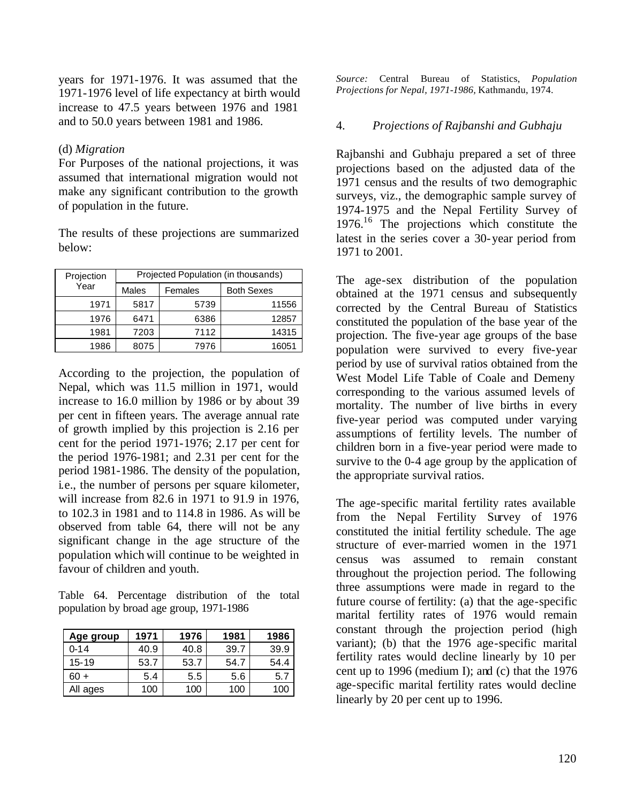years for 1971-1976. It was assumed that the 1971-1976 level of life expectancy at birth would increase to 47.5 years between 1976 and 1981 and to 50.0 years between 1981 and 1986.

### (d) *Migration*

For Purposes of the national projections, it was assumed that international migration would not make any significant contribution to the growth of population in the future.

The results of these projections are summarized below:

| Projection | Projected Population (in thousands) |         |                   |  |  |
|------------|-------------------------------------|---------|-------------------|--|--|
| Year       | Males                               | Females | <b>Both Sexes</b> |  |  |
| 1971       | 5817                                | 5739    | 11556             |  |  |
| 1976       | 6471                                | 6386    | 12857             |  |  |
| 1981       | 7203                                | 7112    | 14315             |  |  |
| 1986       | 8075                                | 7976    | 16051             |  |  |

According to the projection, the population of Nepal, which was 11.5 million in 1971, would increase to 16.0 million by 1986 or by about 39 per cent in fifteen years. The average annual rate of growth implied by this projection is 2.16 per cent for the period 1971-1976; 2.17 per cent for the period 1976-1981; and 2.31 per cent for the period 1981-1986. The density of the population, i.e., the number of persons per square kilometer, will increase from 82.6 in 1971 to 91.9 in 1976, to 102.3 in 1981 and to 114.8 in 1986. As will be observed from table 64, there will not be any significant change in the age structure of the population which will continue to be weighted in favour of children and youth.

Table 64. Percentage distribution of the total population by broad age group, 1971-1986

| Age group | 1971 | 1976 | 1981 | 1986 |
|-----------|------|------|------|------|
| $0 - 14$  | 40.9 | 40.8 | 39.7 | 39.9 |
| $15 - 19$ | 53.7 | 53.7 | 54.7 | 54.4 |
| 60 +      | 5.4  | 5.5  | 5.6  | 5.7  |
| All ages  | 100  | 100  | 100  | 100  |

*Source:* Central Bureau of Statistics, *Population Projections for Nepal, 1971-1986,* Kathmandu, 1974.

# 4. *Projections of Rajbanshi and Gubhaju*

Rajbanshi and Gubhaju prepared a set of three projections based on the adjusted data of the 1971 census and the results of two demographic surveys, viz., the demographic sample survey of 1974-1975 and the Nepal Fertility Survey of 1976.<sup>16</sup> The projections which constitute the latest in the series cover a 30-year period from 1971 to 2001.

The age-sex distribution of the population obtained at the 1971 census and subsequently corrected by the Central Bureau of Statistics constituted the population of the base year of the projection. The five-year age groups of the base population were survived to every five-year period by use of survival ratios obtained from the West Model Life Table of Coale and Demeny corresponding to the various assumed levels of mortality. The number of live births in every five-year period was computed under varying assumptions of fertility levels. The number of children born in a five-year period were made to survive to the 0-4 age group by the application of the appropriate survival ratios.

The age-specific marital fertility rates available from the Nepal Fertility Survey of 1976 constituted the initial fertility schedule. The age structure of ever-married women in the 1971 census was assumed to remain constant throughout the projection period. The following three assumptions were made in regard to the future course of fertility: (a) that the age-specific marital fertility rates of 1976 would remain constant through the projection period (high variant); (b) that the 1976 age-specific marital fertility rates would decline linearly by 10 per cent up to 1996 (medium I); and (c) that the 1976 age-specific marital fertility rates would decline linearly by 20 per cent up to 1996.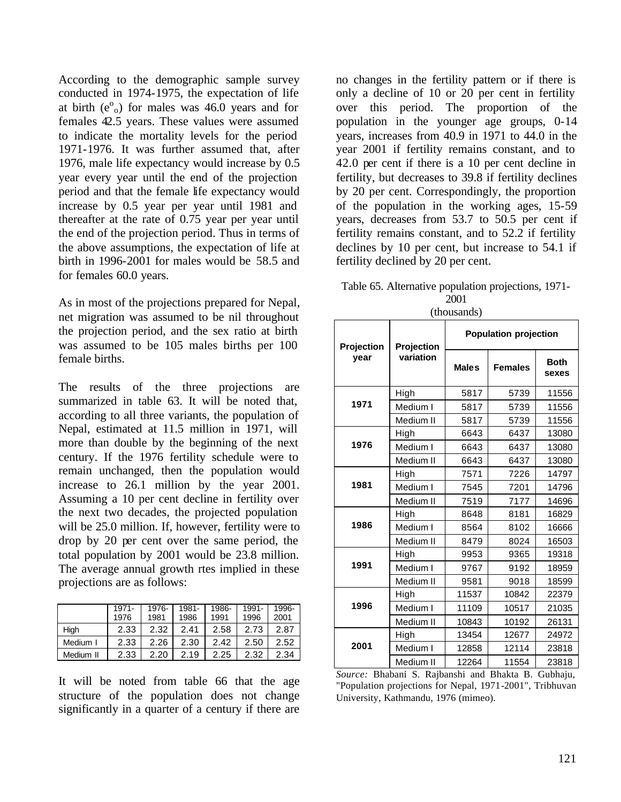According to the demographic sample survey conducted in 1974-1975, the expectation of life at birth  $(e^{\circ}_{o})$  for males was 46.0 years and for females 42.5 years. These values were assumed to indicate the mortality levels for the period 1971-1976. It was further assumed that, after 1976, male life expectancy would increase by 0.5 year every year until the end of the projection period and that the female life expectancy would increase by 0.5 year per year until 1981 and thereafter at the rate of 0.75 year per year until the end of the projection period. Thus in terms of the above assumptions, the expectation of life at birth in 1996-2001 for males would be 58.5 and for females 60.0 years.

As in most of the projections prepared for Nepal, net migration was assumed to be nil throughout the projection period, and the sex ratio at birth was assumed to be 105 males births per 100 female births.

The results of the three projections are summarized in table 63. It will be noted that, according to all three variants, the population of Nepal, estimated at 11.5 million in 1971, will more than double by the beginning of the next century. If the 1976 fertility schedule were to remain unchanged, then the population would increase to 26.1 million by the year 2001. Assuming a 10 per cent decline in fertility over the next two decades, the projected population will be 25.0 million. If, however, fertility were to drop by 20 per cent over the same period, the total population by 2001 would be 23.8 million. The average annual growth rtes implied in these projections are as follows:

|           | 1971- | 1976- | 1981- | 1986- | 1991- | 1996- |
|-----------|-------|-------|-------|-------|-------|-------|
|           | 1976  | 1981  | 1986  | 1991  | 1996  | 2001  |
| High      | 2.33  | 2.32  | 2.41  | 2.58  | 2.73  | 2.87  |
| Medium I  | 2.33  | 2.26  | 2.30  | 2.42  | 2.50  | 2.52  |
| Medium II | 2.33  | 2.20  | 2.19  | 2.25  | 2.32  | 2.34  |
|           |       |       |       |       |       |       |

It will be noted from table 66 that the age structure of the population does not change significantly in a quarter of a century if there are no changes in the fertility pattern or if there is only a decline of 10 or 20 per cent in fertility over this period. The proportion of the population in the younger age groups, 0-14 years, increases from 40.9 in 1971 to 44.0 in the year 2001 if fertility remains constant, and to 42.0 per cent if there is a 10 per cent decline in fertility, but decreases to 39.8 if fertility declines by 20 per cent. Correspondingly, the proportion of the population in the working ages, 15-59 years, decreases from 53.7 to 50.5 per cent if fertility remains constant, and to 52.2 if fertility declines by 10 per cent, but increase to 54.1 if fertility declined by 20 per cent.

Table 65. Alternative population projections, 1971- 2001 (thousands)

| <b>Projection</b>   | Projection                     | <b>Population projection</b> |                                |                            |  |  |
|---------------------|--------------------------------|------------------------------|--------------------------------|----------------------------|--|--|
| year                | variation                      | <b>Males</b>                 | <b>Females</b>                 | <b>Both</b><br>sexes       |  |  |
|                     | High                           | 5817                         | 5739                           | 11556                      |  |  |
| 1971                | Medium I                       | 5817                         | 5739                           | 11556                      |  |  |
|                     | Medium II                      | 5817                         | 5739                           | 11556                      |  |  |
|                     | High                           | 6643                         | 6437                           | 13080                      |  |  |
| 1976                | Medium I                       | 6643                         | 6437                           | 13080                      |  |  |
|                     | Medium II                      | 6643                         | 6437                           | 13080                      |  |  |
|                     | High                           | 7571                         | 7226                           | 14797                      |  |  |
| 1981                | Medium I                       | 7545                         | 7201                           | 14796                      |  |  |
|                     | Medium II                      | 7519                         | 7177                           | 14696                      |  |  |
| 1986                | High                           | 8648                         | 8181                           | 16829                      |  |  |
|                     | Medium I                       | 8564                         | 8102                           | 16666                      |  |  |
|                     | Medium II                      | 8479                         | 8024                           | 16503                      |  |  |
|                     | High                           | 9953                         | 9365                           | 19318                      |  |  |
| 1991                | Medium I                       | 9767                         | 9192                           | 18959                      |  |  |
|                     | Medium II                      | 9581                         | 9018                           | 18599                      |  |  |
|                     | High                           | 11537                        | 10842                          | 22379                      |  |  |
| 1996                | Medium I                       | 11109                        | 10517                          | 21035                      |  |  |
|                     | Medium II                      | 10843                        | 10192                          | 26131                      |  |  |
|                     | High                           | 13454                        | 12677                          | 24972                      |  |  |
| 2001                | Medium I                       | 12858                        | 12114                          | 23818                      |  |  |
| $\mathbf{r}$<br>T11 | Medium II<br>$\cdot$ 1<br>'a n | 12264<br>$\blacksquare$      | 11554<br>T11.1<br>$\mathbf{D}$ | 23818<br>$\sim$ 11 $\cdot$ |  |  |

*Source:* Bhabani S. Rajbanshi and Bhakta B. Gubhaju, "Population projections for Nepal, 1971-2001", Tribhuvan University, Kathmandu, 1976 (mimeo).